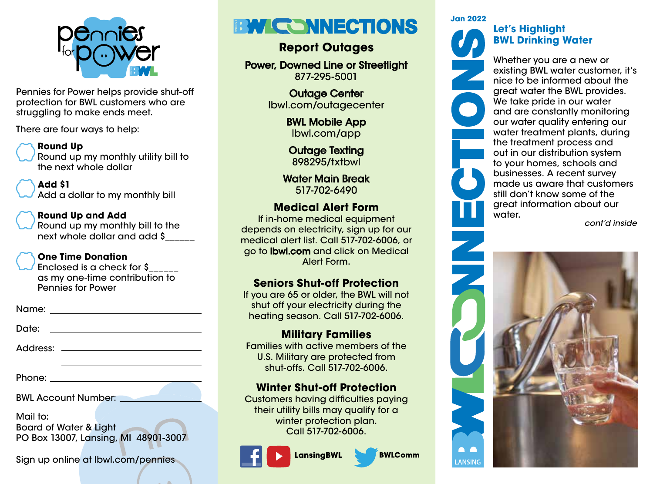

Pennies for Power helps provide shut-off protection for BWL customers who are struggling to make ends meet.

There are four ways to help:

#### **Round Up**

Round up my monthly utility bill to the next whole dollar

### **Add \$1**

Add a dollar to my monthly bill

### **Round Up and Add**

Round up my monthly bill to the next whole dollar and add \$\_\_\_\_\_\_

# **One Time Donation**

Enclosed is a check for \$\_\_\_\_\_\_ as my one-time contribution to Pennies for Power

Name:

Date: with the contract of the contract of the contract of the contract of the contract of the contract of the contract of the contract of the contract of the contract of the contract of the contract of the contract of the

Address:

Phone: <u>with the set of the set of the set of the set of the set of the set of the set of the set of the set of the set of the set of the set of the set of the set of the set of the set of the set of the set of the set of </u>

BWL Account Number:

Mail to:

Board of Water & Light PO Box 13007, Lansing, MI 48901-3007

Sign up online at lbwl.com/pennies

# **EXPLICE NNECTIONS**

# **Report Outages**

Power, Downed Line or Streetlight 877-295-5001

> Outage Center lbwl.com/outagecenter

> > BWL Mobile App lbwl.com/app

Outage Texting 898295/txtbwl

Water Main Break 517-702-6490

# **Medical Alert Form**

If in-home medical equipment depends on electricity, sign up for our medical alert list. Call 517-702-6006, or go to lbwl.com and click on Medical Alert Form.

# **Seniors Shut-off Protection**

If you are 65 or older, the BWL will not shut off your electricity during the heating season. Call 517-702-6006.

# **Military Families**

Families with active members of the U.S. Military are protected from shut-offs. Call 517-702-6006.

# **Winter Shut-off Protection**

Customers having difficulties paying their utility bills may qualify for a winter protection plan. Call 517-702-6006.

**LansingBWL** 



**Jan 2022**

# **Let's Highlight BWL Drinking Water**

Whether you are a new or existing BWL water customer, it's nice to be informed about the great water the BWL provides. We take pride in our water and are constantly monitoring our water quality entering our water treatment plants, during the treatment process and out in our distribution system to your homes, schools and businesses. A recent survey made us aware that customers still don't know some of the great information about our water.

*cont'd inside*